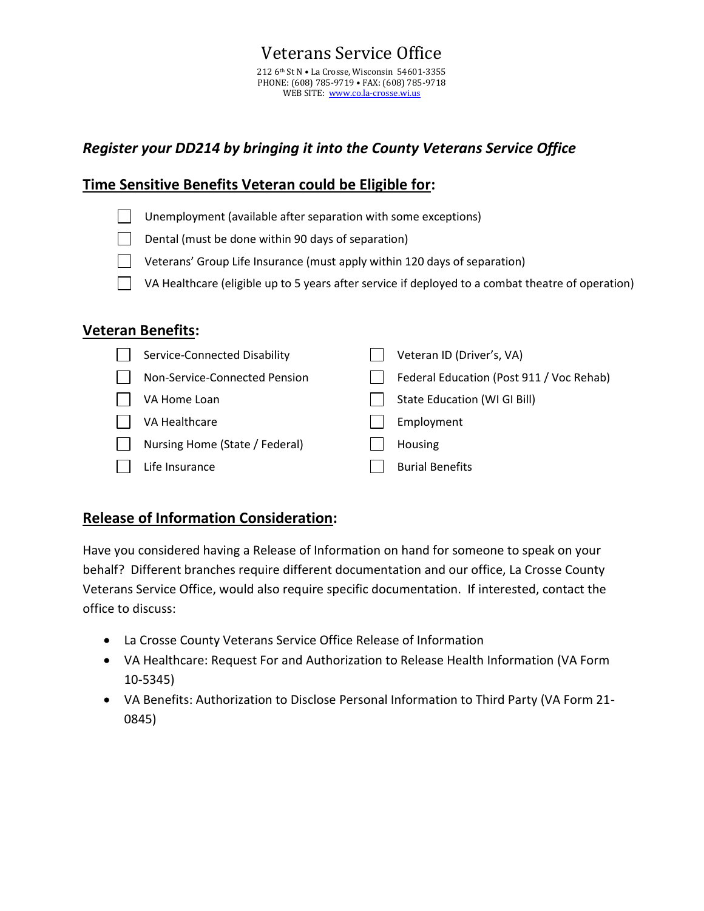## *Register your DD214 by bringing it into the County Veterans Service Office*

### **Time Sensitive Benefits Veteran could be Eligible for:**

- $\Box$  Unemployment (available after separation with some exceptions)
- Dental (must be done within 90 days of separation)
- $\Box$  Veterans' Group Life Insurance (must apply within 120 days of separation)
- $\Box$  VA Healthcare (eligible up to 5 years after service if deployed to a combat theatre of operation)

#### **Veteran Benefits:**

| Service-Connected Disability   | Veteran ID (Driver's, VA)                |
|--------------------------------|------------------------------------------|
| Non-Service-Connected Pension  | Federal Education (Post 911 / Voc Rehab) |
| VA Home Loan                   | State Education (WI GI Bill)             |
| VA Healthcare                  | Employment                               |
| Nursing Home (State / Federal) | Housing                                  |
| Life Insurance                 | <b>Burial Benefits</b>                   |

## **Release of Information Consideration:**

Have you considered having a Release of Information on hand for someone to speak on your behalf? Different branches require different documentation and our office, La Crosse County Veterans Service Office, would also require specific documentation. If interested, contact the office to discuss:

- La Crosse County Veterans Service Office Release of Information
- VA Healthcare: Request For and Authorization to Release Health Information (VA Form 10-5345)
- VA Benefits: Authorization to Disclose Personal Information to Third Party (VA Form 21- 0845)